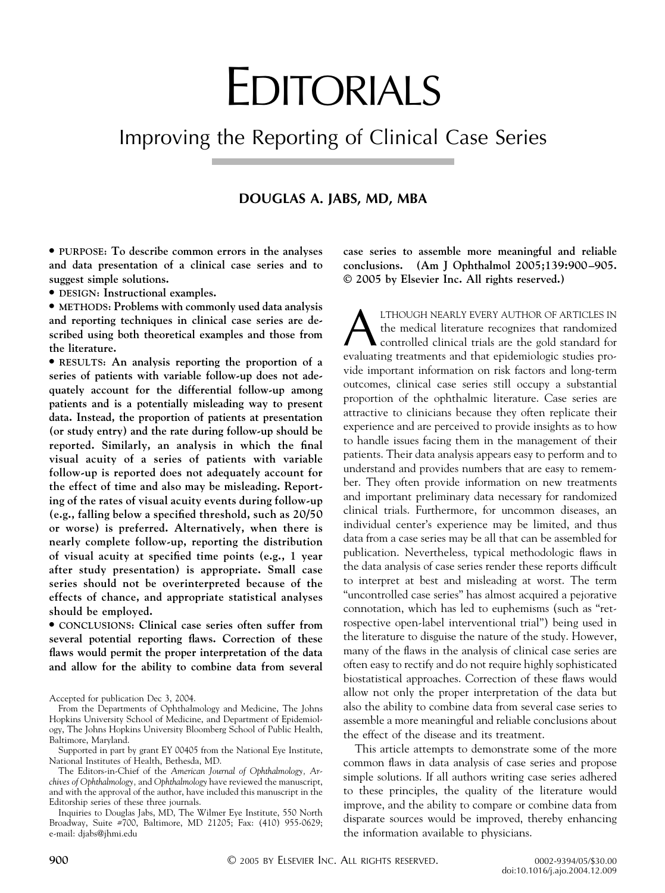# EDITORIALS

# Improving the Reporting of Clinical Case Series

#### **DOUGLAS A. JABS, MD, MBA**

● **PURPOSE: To describe common errors in the analyses and data presentation of a clinical case series and to suggest simple solutions.**

● **DESIGN: Instructional examples.**

● **METHODS: Problems with commonly used data analysis and reporting techniques in clinical case series are described using both theoretical examples and those from the literature.**

● **RESULTS: An analysis reporting the proportion of a series of patients with variable follow-up does not adequately account for the differential follow-up among patients and is a potentially misleading way to present data. Instead, the proportion of patients at presentation (or study entry) and the rate during follow-up should be reported. Similarly, an analysis in which the final visual acuity of a series of patients with variable follow-up is reported does not adequately account for the effect of time and also may be misleading. Reporting of the rates of visual acuity events during follow-up (e.g., falling below a specified threshold, such as 20/50 or worse) is preferred. Alternatively, when there is nearly complete follow-up, reporting the distribution of visual acuity at specified time points (e.g., 1 year after study presentation) is appropriate. Small case series should not be overinterpreted because of the effects of chance, and appropriate statistical analyses should be employed.**

● **CONCLUSIONS: Clinical case series often suffer from several potential reporting flaws. Correction of these flaws would permit the proper interpretation of the data and allow for the ability to combine data from several** **case series to assemble more meaningful and reliable conclusions. (Am J Ophthalmol 2005;139:900 –905. © 2005 by Elsevier Inc. All rights reserved.)**

**ALTHOUGH NEARLY EVERY AUTHOR OF ARTICLES IN**<br>the medical literature recognizes that randomized<br>controlled clinical trials are the gold standard for<br>evaluating treatments and that enidemiologic studies prothe medical literature recognizes that randomized controlled clinical trials are the gold standard for evaluating treatments and that epidemiologic studies provide important information on risk factors and long-term outcomes, clinical case series still occupy a substantial proportion of the ophthalmic literature. Case series are attractive to clinicians because they often replicate their experience and are perceived to provide insights as to how to handle issues facing them in the management of their patients. Their data analysis appears easy to perform and to understand and provides numbers that are easy to remember. They often provide information on new treatments and important preliminary data necessary for randomized clinical trials. Furthermore, for uncommon diseases, an individual center's experience may be limited, and thus data from a case series may be all that can be assembled for publication. Nevertheless, typical methodologic flaws in the data analysis of case series render these reports difficult to interpret at best and misleading at worst. The term "uncontrolled case series" has almost acquired a pejorative connotation, which has led to euphemisms (such as "retrospective open-label interventional trial") being used in the literature to disguise the nature of the study. However, many of the flaws in the analysis of clinical case series are often easy to rectify and do not require highly sophisticated biostatistical approaches. Correction of these flaws would allow not only the proper interpretation of the data but also the ability to combine data from several case series to assemble a more meaningful and reliable conclusions about the effect of the disease and its treatment.

This article attempts to demonstrate some of the more common flaws in data analysis of case series and propose simple solutions. If all authors writing case series adhered to these principles, the quality of the literature would improve, and the ability to compare or combine data from disparate sources would be improved, thereby enhancing the information available to physicians.

Accepted for publication Dec 3, 2004.

From the Departments of Ophthalmology and Medicine, The Johns Hopkins University School of Medicine, and Department of Epidemiology, The Johns Hopkins University Bloomberg School of Public Health, Baltimore, Maryland.

Supported in part by grant EY 00405 from the National Eye Institute, National Institutes of Health, Bethesda, MD.

The Editors-in-Chief of the *American Journal of Ophthalmology, Archives of Ophthalmology,* and *Ophthalmology* have reviewed the manuscript, and with the approval of the author, have included this manuscript in the Editorship series of these three journals.

Inquiries to Douglas Jabs, MD, The Wilmer Eye Institute, 550 North Broadway, Suite #700, Baltimore, MD 21205; Fax: (410) 955-0629; e-mail: djabs@jhmi.edu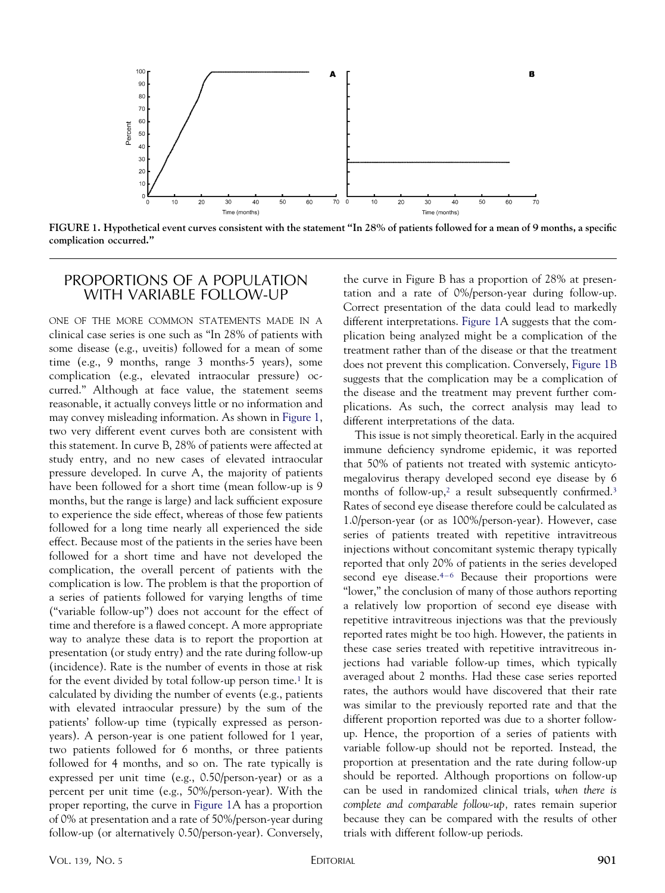

**FIGURE 1. Hypothetical event curves consistent with the statement "In 28% of patients followed for a mean of 9 months, a specific complication occurred."**

#### PROPORTIONS OF A POPULATION WITH VARIABLE FOLLOW-UP

ONE OF THE MORE COMMON STATEMENTS MADE IN A clinical case series is one such as "In 28% of patients with some disease (e.g., uveitis) followed for a mean of some time (e.g., 9 months, range 3 months-5 years), some complication (e.g., elevated intraocular pressure) occurred." Although at face value, the statement seems reasonable, it actually conveys little or no information and may convey misleading information. As shown in Figure 1, two very different event curves both are consistent with this statement. In curve B, 28% of patients were affected at study entry, and no new cases of elevated intraocular pressure developed. In curve A, the majority of patients have been followed for a short time (mean follow-up is 9 months, but the range is large) and lack sufficient exposure to experience the side effect, whereas of those few patients followed for a long time nearly all experienced the side effect. Because most of the patients in the series have been followed for a short time and have not developed the complication, the overall percent of patients with the complication is low. The problem is that the proportion of a series of patients followed for varying lengths of time ("variable follow-up") does not account for the effect of time and therefore is a flawed concept. A more appropriate way to analyze these data is to report the proportion at presentation (or study entry) and the rate during follow-up (incidence). Rate is the number of events in those at risk for the event divided by total follow-up person time[.1](#page-5-0) It is calculated by dividing the number of events (e.g., patients with elevated intraocular pressure) by the sum of the patients' follow-up time (typically expressed as personyears). A person-year is one patient followed for 1 year, two patients followed for 6 months, or three patients followed for 4 months, and so on. The rate typically is expressed per unit time (e.g., 0.50/person-year) or as a percent per unit time (e.g., 50%/person-year). With the proper reporting, the curve in Figure 1A has a proportion of 0% at presentation and a rate of 50%/person-year during follow-up (or alternatively 0.50/person-year). Conversely, the curve in Figure B has a proportion of 28% at presentation and a rate of 0%/person-year during follow-up. Correct presentation of the data could lead to markedly different interpretations. Figure 1A suggests that the complication being analyzed might be a complication of the treatment rather than of the disease or that the treatment does not prevent this complication. Conversely, Figure 1B suggests that the complication may be a complication of the disease and the treatment may prevent further complications. As such, the correct analysis may lead to different interpretations of the data.

This issue is not simply theoretical. Early in the acquired immune deficiency syndrome epidemic, it was reported that 50% of patients not treated with systemic anticytomegalovirus therapy developed second eye disease by 6 months of follow-up,<sup>2</sup> a result subsequently confirmed.<sup>3</sup> Rates of second eye disease therefore could be calculated as 1.0/person-year (or as 100%/person-year). However, case series of patients treated with repetitive intravitreous injections without concomitant systemic therapy typically reported that only 20% of patients in the series developed second eye disease[.4–6](#page-5-0) Because their proportions were "lower," the conclusion of many of those authors reporting a relatively low proportion of second eye disease with repetitive intravitreous injections was that the previously reported rates might be too high. However, the patients in these case series treated with repetitive intravitreous injections had variable follow-up times, which typically averaged about 2 months. Had these case series reported rates, the authors would have discovered that their rate was similar to the previously reported rate and that the different proportion reported was due to a shorter followup. Hence, the proportion of a series of patients with variable follow-up should not be reported. Instead, the proportion at presentation and the rate during follow-up should be reported. Although proportions on follow-up can be used in randomized clinical trials, *when there is complete and comparable follow-up,* rates remain superior because they can be compared with the results of other trials with different follow-up periods.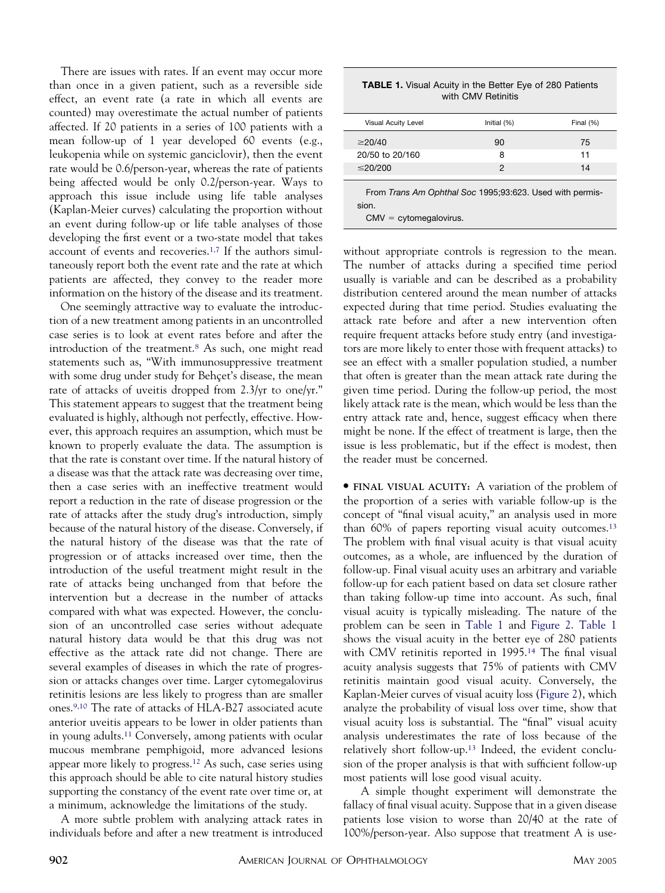There are issues with rates. If an event may occur more than once in a given patient, such as a reversible side effect, an event rate (a rate in which all events are counted) may overestimate the actual number of patients affected. If 20 patients in a series of 100 patients with a mean follow-up of 1 year developed 60 events (e.g., leukopenia while on systemic ganciclovir), then the event rate would be 0.6/person-year, whereas the rate of patients being affected would be only 0.2/person-year. Ways to approach this issue include using life table analyses (Kaplan-Meier curves) calculating the proportion without an event during follow-up or life table analyses of those developing the first event or a two-state model that takes account of events and recoveries[.1,7](#page-5-0) If the authors simultaneously report both the event rate and the rate at which patients are affected, they convey to the reader more information on the history of the disease and its treatment.

One seemingly attractive way to evaluate the introduction of a new treatment among patients in an uncontrolled case series is to look at event rates before and after the introduction of the treatment[.8](#page-5-0) As such, one might read statements such as, "With immunosuppressive treatment with some drug under study for Behçet's disease, the mean rate of attacks of uveitis dropped from 2.3/yr to one/yr." This statement appears to suggest that the treatment being evaluated is highly, although not perfectly, effective. However, this approach requires an assumption, which must be known to properly evaluate the data. The assumption is that the rate is constant over time. If the natural history of a disease was that the attack rate was decreasing over time, then a case series with an ineffective treatment would report a reduction in the rate of disease progression or the rate of attacks after the study drug's introduction, simply because of the natural history of the disease. Conversely, if the natural history of the disease was that the rate of progression or of attacks increased over time, then the introduction of the useful treatment might result in the rate of attacks being unchanged from that before the intervention but a decrease in the number of attacks compared with what was expected. However, the conclusion of an uncontrolled case series without adequate natural history data would be that this drug was not effective as the attack rate did not change. There are several examples of diseases in which the rate of progression or attacks changes over time. Larger cytomegalovirus retinitis lesions are less likely to progress than are smaller ones[.9,10](#page-5-0) The rate of attacks of HLA-B27 associated acute anterior uveitis appears to be lower in older patients than in young adults[.11](#page-5-0) Conversely, among patients with ocular mucous membrane pemphigoid, more advanced lesions appear more likely to progress[.12](#page-5-0) As such, case series using this approach should be able to cite natural history studies supporting the constancy of the event rate over time or, at a minimum, acknowledge the limitations of the study.

A more subtle problem with analyzing attack rates in individuals before and after a new treatment is introduced

| <b>TABLE 1.</b> Visual Acuity in the Better Eye of 280 Patients |  |  |
|-----------------------------------------------------------------|--|--|
| with CMV Retinitis                                              |  |  |

| Visual Acuity Level                                                                           | Initial (%) | Final (%) |
|-----------------------------------------------------------------------------------------------|-------------|-----------|
| $\geq$ 20/40                                                                                  | 90          | 75        |
| 20/50 to 20/160                                                                               | 8           | 11        |
| $\leq$ 20/200                                                                                 | 2           | 14        |
| From Trans Am Ophthal Soc 1995;93:623. Used with permis-<br>sion.<br>$CMV = cytomegalovirus.$ |             |           |

without appropriate controls is regression to the mean. The number of attacks during a specified time period usually is variable and can be described as a probability distribution centered around the mean number of attacks expected during that time period. Studies evaluating the attack rate before and after a new intervention often require frequent attacks before study entry (and investigators are more likely to enter those with frequent attacks) to see an effect with a smaller population studied, a number that often is greater than the mean attack rate during the given time period. During the follow-up period, the most likely attack rate is the mean, which would be less than the entry attack rate and, hence, suggest efficacy when there might be none. If the effect of treatment is large, then the issue is less problematic, but if the effect is modest, then the reader must be concerned.

● **FINAL VISUAL ACUITY:** A variation of the problem of the proportion of a series with variable follow-up is the concept of "final visual acuity," an analysis used in more than 60% of papers reporting visual acuity outcomes[.13](#page-5-0) The problem with final visual acuity is that visual acuity outcomes, as a whole, are influenced by the duration of follow-up. Final visual acuity uses an arbitrary and variable follow-up for each patient based on data set closure rather than taking follow-up time into account. As such, final visual acuity is typically misleading. The nature of the problem can be seen in Table 1 and [Figure 2.](#page-3-0) Table 1 shows the visual acuity in the better eye of 280 patients with CMV retinitis reported in 1995[.14](#page-5-0) The final visual acuity analysis suggests that 75% of patients with CMV retinitis maintain good visual acuity. Conversely, the Kaplan-Meier curves of visual acuity loss [\(Figure 2\)](#page-3-0), which analyze the probability of visual loss over time, show that visual acuity loss is substantial. The "final" visual acuity analysis underestimates the rate of loss because of the relatively short follow-up[.13](#page-5-0) Indeed, the evident conclusion of the proper analysis is that with sufficient follow-up most patients will lose good visual acuity.

A simple thought experiment will demonstrate the fallacy of final visual acuity. Suppose that in a given disease patients lose vision to worse than 20/40 at the rate of 100%/person-year. Also suppose that treatment A is use-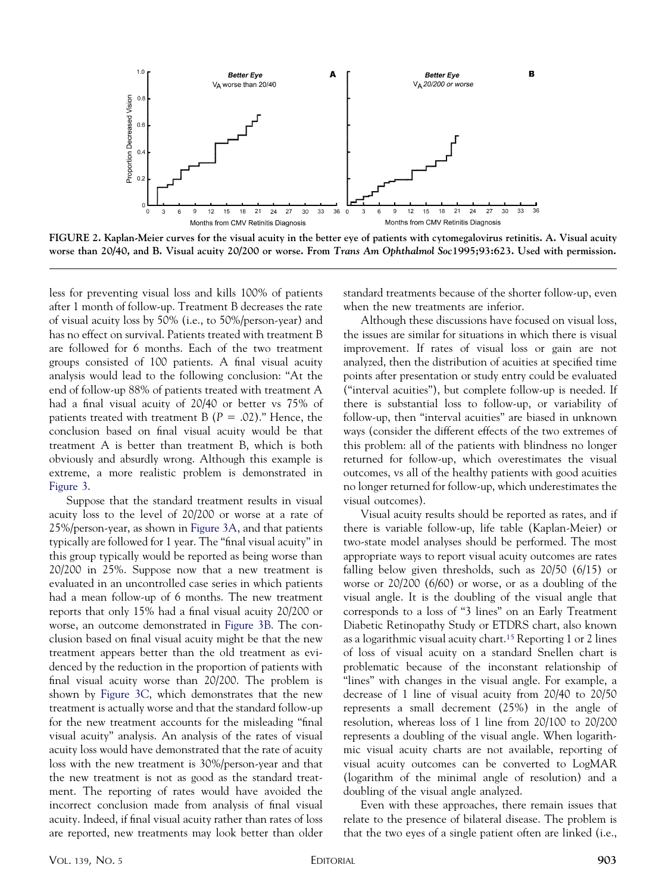<span id="page-3-0"></span>

**FIGURE 2. Kaplan-Meier curves for the visual acuity in the better eye of patients with cytomegalovirus retinitis. A. Visual acuity worse than 20/40, and B. Visual acuity 20/200 or worse. From** *Trans Am Ophthalmol Soc***1995;93:623. Used with permission.**

less for preventing visual loss and kills 100% of patients after 1 month of follow-up. Treatment B decreases the rate of visual acuity loss by 50% (i.e., to 50%/person-year) and has no effect on survival. Patients treated with treatment B are followed for 6 months. Each of the two treatment groups consisted of 100 patients. A final visual acuity analysis would lead to the following conclusion: "At the end of follow-up 88% of patients treated with treatment A had a final visual acuity of 20/40 or better vs 75% of patients treated with treatment B ( $P = .02$ )." Hence, the conclusion based on final visual acuity would be that treatment A is better than treatment B, which is both obviously and absurdly wrong. Although this example is extreme, a more realistic problem is demonstrated in [Figure 3.](#page-4-0)

Suppose that the standard treatment results in visual acuity loss to the level of 20/200 or worse at a rate of 25%/person-year, as shown in [Figure 3A,](#page-4-0) and that patients typically are followed for 1 year. The "final visual acuity" in this group typically would be reported as being worse than 20/200 in 25%. Suppose now that a new treatment is evaluated in an uncontrolled case series in which patients had a mean follow-up of 6 months. The new treatment reports that only 15% had a final visual acuity 20/200 or worse, an outcome demonstrated in [Figure 3B.](#page-4-0) The conclusion based on final visual acuity might be that the new treatment appears better than the old treatment as evidenced by the reduction in the proportion of patients with final visual acuity worse than 20/200. The problem is shown by [Figure 3C,](#page-4-0) which demonstrates that the new treatment is actually worse and that the standard follow-up for the new treatment accounts for the misleading "final visual acuity" analysis. An analysis of the rates of visual acuity loss would have demonstrated that the rate of acuity loss with the new treatment is 30%/person-year and that the new treatment is not as good as the standard treatment. The reporting of rates would have avoided the incorrect conclusion made from analysis of final visual acuity. Indeed, if final visual acuity rather than rates of loss are reported, new treatments may look better than older

standard treatments because of the shorter follow-up, even when the new treatments are inferior.

Although these discussions have focused on visual loss, the issues are similar for situations in which there is visual improvement. If rates of visual loss or gain are not analyzed, then the distribution of acuities at specified time points after presentation or study entry could be evaluated ("interval acuities"), but complete follow-up is needed. If there is substantial loss to follow-up, or variability of follow-up, then "interval acuities" are biased in unknown ways (consider the different effects of the two extremes of this problem: all of the patients with blindness no longer returned for follow-up, which overestimates the visual outcomes, vs all of the healthy patients with good acuities no longer returned for follow-up, which underestimates the visual outcomes).

Visual acuity results should be reported as rates, and if there is variable follow-up, life table (Kaplan-Meier) or two-state model analyses should be performed. The most appropriate ways to report visual acuity outcomes are rates falling below given thresholds, such as 20/50 (6/15) or worse or 20/200 (6/60) or worse, or as a doubling of the visual angle. It is the doubling of the visual angle that corresponds to a loss of "3 lines" on an Early Treatment Diabetic Retinopathy Study or ETDRS chart, also known as a logarithmic visual acuity chart[.15](#page-5-0) Reporting 1 or 2 lines of loss of visual acuity on a standard Snellen chart is problematic because of the inconstant relationship of "lines" with changes in the visual angle. For example, a decrease of 1 line of visual acuity from 20/40 to 20/50 represents a small decrement (25%) in the angle of resolution, whereas loss of 1 line from 20/100 to 20/200 represents a doubling of the visual angle. When logarithmic visual acuity charts are not available, reporting of visual acuity outcomes can be converted to LogMAR (logarithm of the minimal angle of resolution) and a doubling of the visual angle analyzed.

Even with these approaches, there remain issues that relate to the presence of bilateral disease. The problem is that the two eyes of a single patient often are linked (i.e.,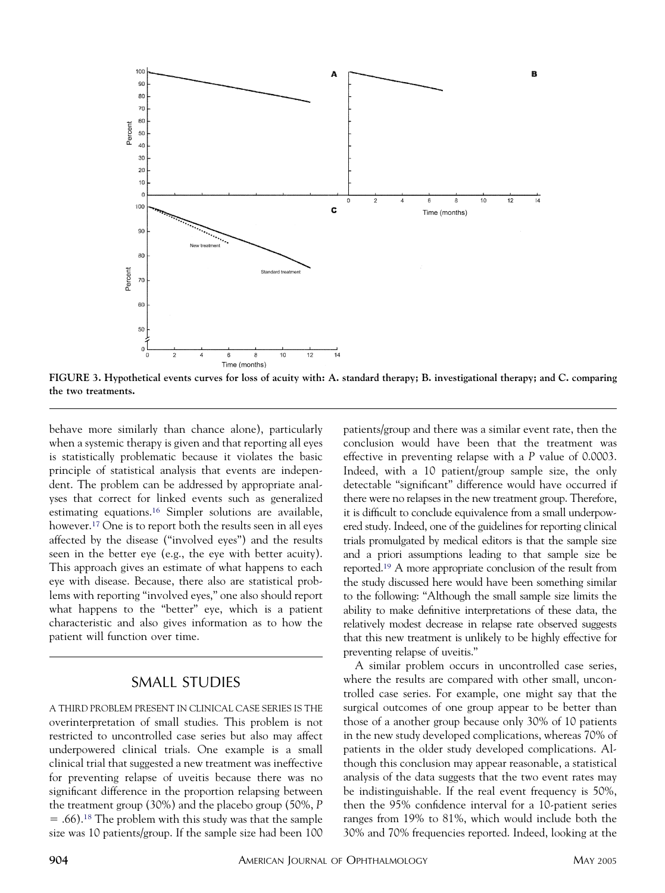<span id="page-4-0"></span>

**FIGURE 3. Hypothetical events curves for loss of acuity with: A. standard therapy; B. investigational therapy; and C. comparing the two treatments.**

behave more similarly than chance alone), particularly when a systemic therapy is given and that reporting all eyes is statistically problematic because it violates the basic principle of statistical analysis that events are independent. The problem can be addressed by appropriate analyses that correct for linked events such as generalized estimating equations[.16](#page-5-0) Simpler solutions are available, however[.17](#page-5-0) One is to report both the results seen in all eyes affected by the disease ("involved eyes") and the results seen in the better eye (e.g., the eye with better acuity). This approach gives an estimate of what happens to each eye with disease. Because, there also are statistical problems with reporting "involved eyes," one also should report what happens to the "better" eye, which is a patient characteristic and also gives information as to how the patient will function over time.

#### SMALL STUDIES

A THIRD PROBLEM PRESENT IN CLINICAL CASE SERIES IS THE overinterpretation of small studies. This problem is not restricted to uncontrolled case series but also may affect underpowered clinical trials. One example is a small clinical trial that suggested a new treatment was ineffective for preventing relapse of uveitis because there was no significant difference in the proportion relapsing between the treatment group (30%) and the placebo group (50%, *P*  $=$  .66).<sup>18</sup> The problem with this study was that the sample size was 10 patients/group. If the sample size had been 100

patients/group and there was a similar event rate, then the conclusion would have been that the treatment was effective in preventing relapse with a *P* value of 0.0003. Indeed, with a 10 patient/group sample size, the only detectable "significant" difference would have occurred if there were no relapses in the new treatment group. Therefore, it is difficult to conclude equivalence from a small underpowered study. Indeed, one of the guidelines for reporting clinical trials promulgated by medical editors is that the sample size and a priori assumptions leading to that sample size be reported[.19](#page-5-0) A more appropriate conclusion of the result from the study discussed here would have been something similar to the following: "Although the small sample size limits the ability to make definitive interpretations of these data, the relatively modest decrease in relapse rate observed suggests that this new treatment is unlikely to be highly effective for preventing relapse of uveitis."

A similar problem occurs in uncontrolled case series, where the results are compared with other small, uncontrolled case series. For example, one might say that the surgical outcomes of one group appear to be better than those of a another group because only 30% of 10 patients in the new study developed complications, whereas 70% of patients in the older study developed complications. Although this conclusion may appear reasonable, a statistical analysis of the data suggests that the two event rates may be indistinguishable. If the real event frequency is 50%, then the 95% confidence interval for a 10-patient series ranges from 19% to 81%, which would include both the 30% and 70% frequencies reported. Indeed, looking at the